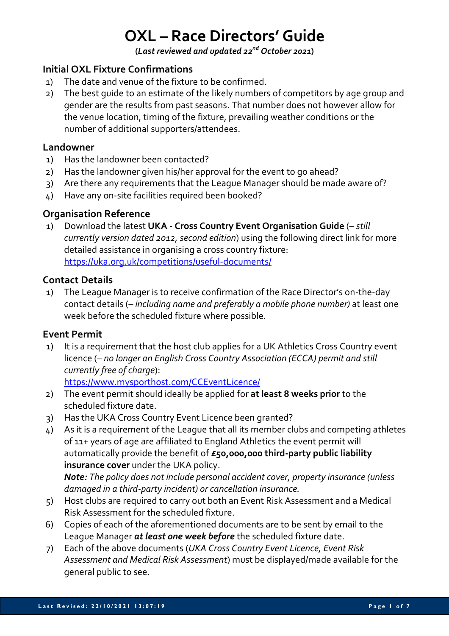# **OXL – Race Directors' Guide**

**(***Last reviewed and updated 22nd October 2021***)**

# **Initial OXL Fixture Confirmations**

- 1) The date and venue of the fixture to be confirmed.
- 2) The best guide to an estimate of the likely numbers of competitors by age group and gender are the results from past seasons. That number does not however allow for the venue location, timing of the fixture, prevailing weather conditions or the number of additional supporters/attendees.

#### **Landowner**

- 1) Has the landowner been contacted?
- 2) Has the landowner given his/her approval for the event to go ahead?
- 3) Are there any requirements that the League Manager should be made aware of?
- 4) Have any on-site facilities required been booked?

#### **Organisation Reference**

1) Download the latest **UKA - Cross Country Event Organisation Guide** (*– still currently version dated 2012, second edition*) using the following direct link for more detailed assistance in organising a cross country fixture: https://uka.org.uk/competitions/useful-documents/

#### **Contact Details**

1) The League Manager is to receive confirmation of the Race Director's on-the-day contact details (*– including name and preferably a mobile phone number)* at least one week before the scheduled fixture where possible.

# **Event Permit**

1) It is a requirement that the host club applies for a UK Athletics Cross Country event licence (– *no longer an English Cross Country Association (ECCA) permit and still currently free of charge*):

https://www.mysporthost.com/CCEventLicence/

- 2) The event permit should ideally be applied for **at least 8 weeks prior** to the scheduled fixture date.
- 3) Has the UKA Cross Country Event Licence been granted?
- 4) As it is a requirement of the League that all its member clubs and competing athletes of 11+ years of age are affiliated to England Athletics the event permit will automatically provide the benefit of **£50,000,000 third-party public liability insurance cover** under the UKA policy. *Note: The policy does not include personal accident cover, property insurance (unless*

*damaged in a third-party incident) or cancellation insurance.*

- 5) Host clubs are required to carry out both an Event Risk Assessment and a Medical Risk Assessment for the scheduled fixture.
- 6) Copies of each of the aforementioned documents are to be sent by email to the League Manager *at least one week before* the scheduled fixture date.
- 7) Each of the above documents (*UKA Cross Country Event Licence, Event Risk Assessment and Medical Risk Assessment*) must be displayed/made available for the general public to see.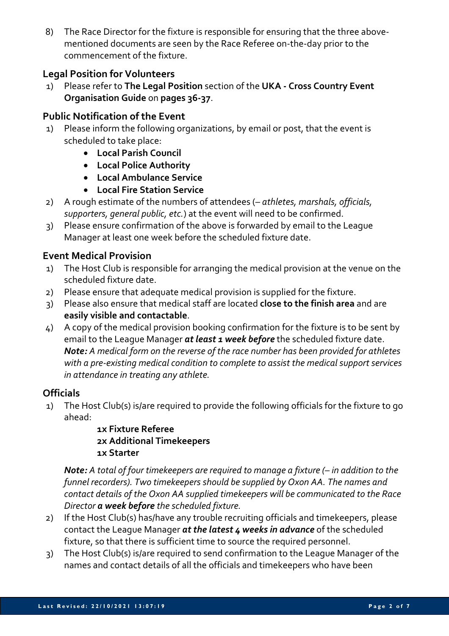8) The Race Director for the fixture is responsible for ensuring that the three abovementioned documents are seen by the Race Referee on-the-day prior to the commencement of the fixture.

# **Legal Position for Volunteers**

1) Please refer to **The Legal Position** section of the **UKA - Cross Country Event Organisation Guide** on **pages 36-37**.

#### **Public Notification of the Event**

- 1) Please inform the following organizations, by email or post, that the event is scheduled to take place:
	- **Local Parish Council**
	- **Local Police Authority**
	- **Local Ambulance Service**
	- **Local Fire Station Service**
- 2) A rough estimate of the numbers of attendees (– *athletes, marshals, officials, supporters, general public, etc.*) at the event will need to be confirmed.
- 3) Please ensure confirmation of the above is forwarded by email to the League Manager at least one week before the scheduled fixture date.

#### **Event Medical Provision**

- 1) The Host Club is responsible for arranging the medical provision at the venue on the scheduled fixture date.
- 2) Please ensure that adequate medical provision is supplied for the fixture.
- 3) Please also ensure that medical staff are located **close to the finish area** and are **easily visible and contactable**.
- 4) A copy of the medical provision booking confirmation for the fixture is to be sent by email to the League Manager *at least 1 week before* the scheduled fixture date. *Note: A medical form on the reverse of the race number has been provided for athletes with a pre-existing medical condition to complete to assist the medical support services in attendance in treating any athlete.*

# **Officials**

1) The Host Club(s) is/are required to provide the following officials for the fixture to go ahead:

#### **1x Fixture Referee 2x Additional Timekeepers 1x Starter**

*Note: A total of four timekeepers are required to manage a fixture (– in addition to the funnel recorders). Two timekeepers should be supplied by Oxon AA. The names and contact details of the Oxon AA supplied timekeepers will be communicated to the Race Director a week before the scheduled fixture.*

- 2) If the Host Club(s) has/have any trouble recruiting officials and timekeepers, please contact the League Manager *at the latest 4 weeks in advance* of the scheduled fixture, so that there is sufficient time to source the required personnel.
- 3) The Host Club(s) is/are required to send confirmation to the League Manager of the names and contact details of all the officials and timekeepers who have been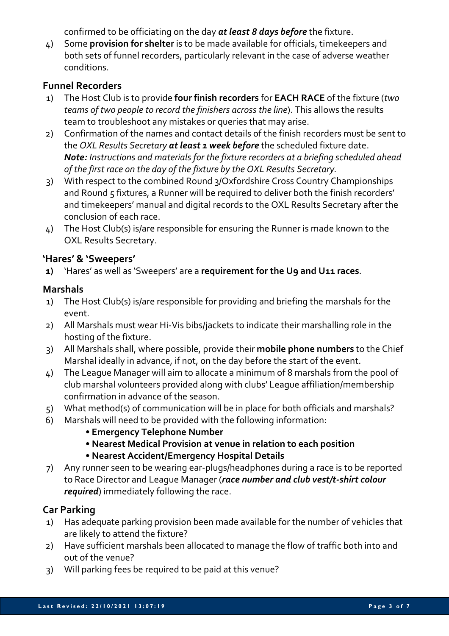confirmed to be officiating on the day *at least 8 days before* the fixture.

4) Some **provision for shelter** is to be made available for officials, timekeepers and both sets of funnel recorders, particularly relevant in the case of adverse weather conditions.

# **Funnel Recorders**

- 1) The Host Club is to provide **four finish recorders** for **EACH RACE** of the fixture (*two teams of two people to record the finishers across the line*). This allows the results team to troubleshoot any mistakes or queries that may arise.
- 2) Confirmation of the names and contact details of the finish recorders must be sent to the *OXL Results Secretary at least 1 week before* the scheduled fixture date. *Note: Instructions and materials for the fixture recorders at a briefing scheduled ahead of the first race on the day of the fixture by the OXL Results Secretary.*
- 3) With respect to the combined Round 3/Oxfordshire Cross Country Championships and Round 5 fixtures, a Runner will be required to deliver both the finish recorders' and timekeepers' manual and digital records to the OXL Results Secretary after the conclusion of each race.
- 4) The Host Club(s) is/are responsible for ensuring the Runner is made known to the OXL Results Secretary.

# **'Hares' & 'Sweepers'**

**1)** 'Hares' as well as 'Sweepers' are a **requirement for the U9 and U11 races**.

# **Marshals**

- 1) The Host Club(s) is/are responsible for providing and briefing the marshals for the event.
- 2) All Marshals must wear Hi-Vis bibs/jackets to indicate their marshalling role in the hosting of the fixture.
- 3) All Marshals shall, where possible, provide their **mobile phone numbers** to the Chief Marshal ideally in advance, if not, on the day before the start of the event.
- 4) The League Manager will aim to allocate a minimum of 8 marshals from the pool of club marshal volunteers provided along with clubs' League affiliation/membership confirmation in advance of the season.
- 5) What method(s) of communication will be in place for both officials and marshals?
- 6) Marshals will need to be provided with the following information:
	- **Emergency Telephone Number**
	- **Nearest Medical Provision at venue in relation to each position**
	- **Nearest Accident/Emergency Hospital Details**
- 7) Any runner seen to be wearing ear-plugs/headphones during a race is to be reported to Race Director and League Manager (*race number and club vest/t-shirt colour required*) immediately following the race.

# **Car Parking**

- 1) Has adequate parking provision been made available for the number of vehicles that are likely to attend the fixture?
- 2) Have sufficient marshals been allocated to manage the flow of traffic both into and out of the venue?
- 3) Will parking fees be required to be paid at this venue?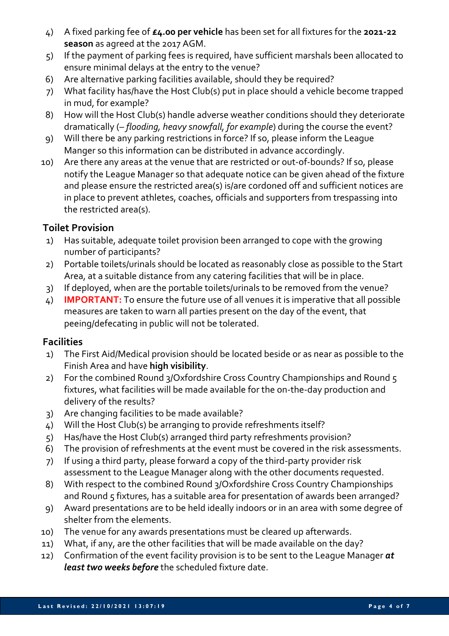- 4) A fixed parking fee of **£4.00 per vehicle** has been set for all fixtures for the **2021-22 season** as agreed at the 2017 AGM.
- 5) If the payment of parking fees is required, have sufficient marshals been allocated to ensure minimal delays at the entry to the venue?
- 6) Are alternative parking facilities available, should they be required?
- 7) What facility has/have the Host Club(s) put in place should a vehicle become trapped in mud, for example?
- 8) How will the Host Club(s) handle adverse weather conditions should they deteriorate dramatically (– *flooding, heavy snowfall, for example*) during the course the event?
- 9) Will there be any parking restrictions in force? If so, please inform the League Manger so this information can be distributed in advance accordingly.
- 10) Are there any areas at the venue that are restricted or out-of-bounds? If so, please notify the League Manager so that adequate notice can be given ahead of the fixture and please ensure the restricted area(s) is/are cordoned off and sufficient notices are in place to prevent athletes, coaches, officials and supporters from trespassing into the restricted area(s).

# **Toilet Provision**

- 1) Has suitable, adequate toilet provision been arranged to cope with the growing number of participants?
- 2) Portable toilets/urinals should be located as reasonably close as possible to the Start Area, at a suitable distance from any catering facilities that will be in place.
- 3) If deployed, when are the portable toilets/urinals to be removed from the venue?
- 4) **IMPORTANT:** To ensure the future use of all venues it is imperative that all possible measures are taken to warn all parties present on the day of the event, that peeing/defecating in public will not be tolerated.

# **Facilities**

- 1) The First Aid/Medical provision should be located beside or as near as possible to the Finish Area and have **high visibility**.
- 2) For the combined Round 3/Oxfordshire Cross Country Championships and Round 5 fixtures, what facilities will be made available for the on-the-day production and delivery of the results?
- 3) Are changing facilities to be made available?
- 4) Will the Host Club(s) be arranging to provide refreshments itself?
- 5) Has/have the Host Club(s) arranged third party refreshments provision?
- 6) The provision of refreshments at the event must be covered in the risk assessments.
- 7) If using a third party, please forward a copy of the third-party provider risk assessment to the League Manager along with the other documents requested.
- 8) With respect to the combined Round 3/Oxfordshire Cross Country Championships and Round 5 fixtures, has a suitable area for presentation of awards been arranged?
- 9) Award presentations are to be held ideally indoors or in an area with some degree of shelter from the elements.
- 10) The venue for any awards presentations must be cleared up afterwards.
- 11) What, if any, are the other facilities that will be made available on the day?
- 12) Confirmation of the event facility provision is to be sent to the League Manager *at least two weeks before* the scheduled fixture date.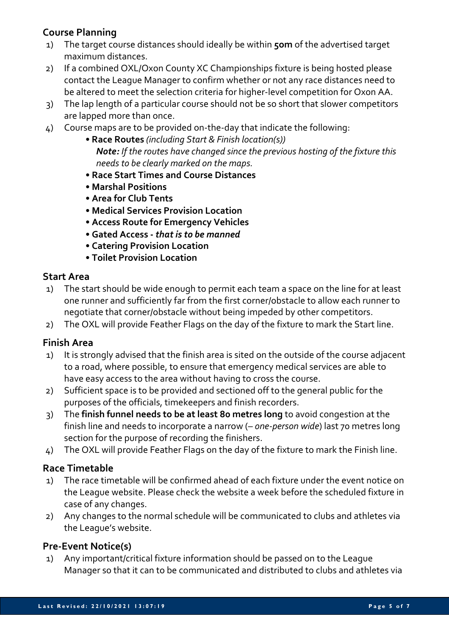# **Course Planning**

- 1) The target course distances should ideally be within **5om** of the advertised target maximum distances.
- 2) If a combined OXL/Oxon County XC Championships fixture is being hosted please contact the League Manager to confirm whether or not any race distances need to be altered to meet the selection criteria for higher-level competition for Oxon AA.
- 3) The lap length of a particular course should not be so short that slower competitors are lapped more than once.
- 4) Course maps are to be provided on-the-day that indicate the following:
	- **Race Routes** *(including Start & Finish location(s)) Note: If the routes have changed since the previous hosting of the fixture this needs to be clearly marked on the maps.*
	- **Race Start Times and Course Distances**
	- **Marshal Positions**
	- **Area for Club Tents**
	- **Medical Services Provision Location**
	- **Access Route for Emergency Vehicles**
	- **Gated Access -** *that is to be manned*
	- **Catering Provision Location**
	- **Toilet Provision Location**

#### **Start Area**

- 1) The start should be wide enough to permit each team a space on the line for at least one runner and sufficiently far from the first corner/obstacle to allow each runner to negotiate that corner/obstacle without being impeded by other competitors.
- 2) The OXL will provide Feather Flags on the day of the fixture to mark the Start line.

# **Finish Area**

- 1) It is strongly advised that the finish area is sited on the outside of the course adjacent to a road, where possible, to ensure that emergency medical services are able to have easy access to the area without having to cross the course.
- 2) Sufficient space is to be provided and sectioned off to the general public for the purposes of the officials, timekeepers and finish recorders.
- 3) The **finish funnel needs to be at least 80 metres long** to avoid congestion at the finish line and needs to incorporate a narrow (*– one-person wide*) last 70 metres long section for the purpose of recording the finishers.
- 4) The OXL will provide Feather Flags on the day of the fixture to mark the Finish line.

# **Race Timetable**

- 1) The race timetable will be confirmed ahead of each fixture under the event notice on the League website. Please check the website a week before the scheduled fixture in case of any changes.
- 2) Any changes to the normal schedule will be communicated to clubs and athletes via the League's website.

# **Pre-Event Notice(s)**

1) Any important/critical fixture information should be passed on to the League Manager so that it can to be communicated and distributed to clubs and athletes via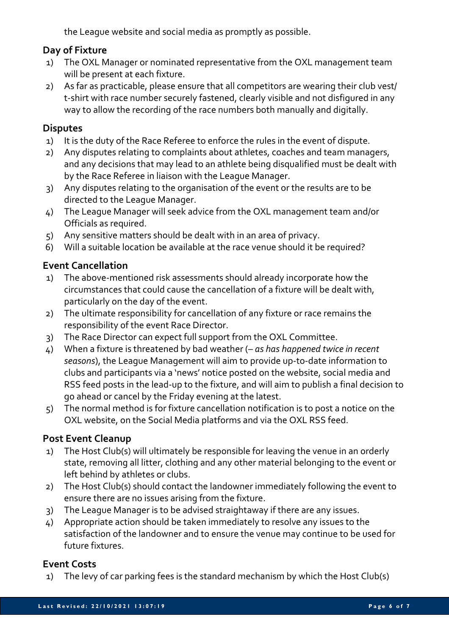the League website and social media as promptly as possible.

# **Day of Fixture**

- 1) The OXL Manager or nominated representative from the OXL management team will be present at each fixture.
- 2) As far as practicable, please ensure that all competitors are wearing their club vest/ t-shirt with race number securely fastened, clearly visible and not disfigured in any way to allow the recording of the race numbers both manually and digitally.

#### **Disputes**

- 1) It is the duty of the Race Referee to enforce the rules in the event of dispute.
- 2) Any disputes relating to complaints about athletes, coaches and team managers, and any decisions that may lead to an athlete being disqualified must be dealt with by the Race Referee in liaison with the League Manager.
- 3) Any disputes relating to the organisation of the event or the results are to be directed to the League Manager.
- 4) The League Manager will seek advice from the OXL management team and/or Officials as required.
- 5) Any sensitive matters should be dealt with in an area of privacy.
- 6) Will a suitable location be available at the race venue should it be required?

#### **Event Cancellation**

- 1) The above-mentioned risk assessments should already incorporate how the circumstances that could cause the cancellation of a fixture will be dealt with, particularly on the day of the event.
- 2) The ultimate responsibility for cancellation of any fixture or race remains the responsibility of the event Race Director.
- 3) The Race Director can expect full support from the OXL Committee.
- 4) When a fixture is threatened by bad weather (– *as has happened twice in recent seasons*), the League Management will aim to provide up-to-date information to clubs and participants via a 'news' notice posted on the website, social media and RSS feed posts in the lead-up to the fixture, and will aim to publish a final decision to go ahead or cancel by the Friday evening at the latest.
- 5) The normal method is for fixture cancellation notification is to post a notice on the OXL website, on the Social Media platforms and via the OXL RSS feed.

# **Post Event Cleanup**

- 1) The Host Club(s) will ultimately be responsible for leaving the venue in an orderly state, removing all litter, clothing and any other material belonging to the event or left behind by athletes or clubs.
- 2) The Host Club(s) should contact the landowner immediately following the event to ensure there are no issues arising from the fixture.
- 3) The League Manager is to be advised straightaway if there are any issues.
- 4) Appropriate action should be taken immediately to resolve any issues to the satisfaction of the landowner and to ensure the venue may continue to be used for future fixtures.

# **Event Costs**

1) The levy of car parking fees is the standard mechanism by which the Host Club(s)